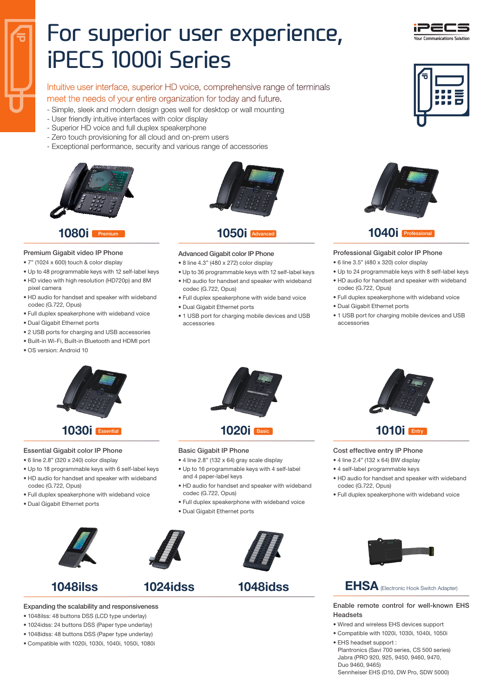# For superior user experience, iPECS 1000i Series

Intuitive user interface, superior HD voice, comprehensive range of terminals meet the needs of your entire organization for today and future.

- 
- Simple, sleek and modern design goes well for desktop or wall mounting - User friendly intuitive interfaces with color display
- 
- Superior HD voice and full duplex speakerphone
- Zero touch provisioning for all cloud and on-prem users
- Exceptional performance, security and various range of accessories



#### 1080i

#### Premium Gigabit video IP Phone

- 7" (1024 x 600) touch & color display
- Up to 48 programmable keys with 12 self-label keys • HD video with high resolution (HD720p) and 8M
- pixel camera • HD audio for handset and speaker with wideband
- codec (G.722, Opus)
- Full duplex speakerphone with wideband voice
- Dual Gigabit Ethernet ports
- 2 USB ports for charging and USB accessories
- Built-in Wi-Fi, Built-in Bluetooth and HDMI port
- OS version: Android 10



## $1050$ i Advan

#### Advanced Gigabit color IP Phone

- 8 line 4.3" (480 x 272) color display
- Up to 36 programmable keys with 12 self-label keys • HD audio for handset and speaker with wideband codec (G.722, Opus)
- Full duplex speakerphone with wide band voice
- Dual Gigabit Ethernet ports
- 1 USB port for charging mobile devices and USB accessories







## $1040i$  Profes

#### Professional Gigabit color IP Phone

- 6 line 3.5" (480 x 320) color display
- Up to 24 programmable keys with 8 self-label keys • HD audio for handset and speaker with wideband codec (G.722, Opus)
- Full duplex speakerphone with wideband voice
- Dual Gigabit Ethernet ports
- 1 USB port for charging mobile devices and USB accessories



### **1030** Essential

#### Essential Gigabit color IP Phone

- 6 line 2.8" (320 x 240) color display
- Up to 18 programmable keys with 6 self-label keys
- HD audio for handset and speaker with wideband codec (G.722, Opus)
- Full duplex speakerphone with wideband voice
- Dual Gigabit Ethernet ports







- 1048ilss: 48 buttons DSS (LCD type underlay)
- 1024idss: 24 buttons DSS (Paper type underlay)
- 1048idss: 48 buttons DSS (Paper type underlay)
- Compatible with 1020i, 1030i, 1040i, 1050i, 1080i



#### Basic Gigabit IP Phone

- 4 line 2.8" (132 x 64) gray scale display
- Up to 16 programmable keys with 4 self-label and 4 paper-label keys
- HD audio for handset and speaker with wideband codec (G.722, Opus)
- Full duplex speakerphone with wideband voice
- Dual Gigabit Ethernet ports



1048ilss 1024idss 1048idss



## **1010i** Entry

Cost effective entry IP Phone

- 4 line 2.4" (132 x 64) BW display
- 4 self-label programmable keys
- HD audio for handset and speaker with wideband codec (G.722, Opus)
- Full duplex speakerphone with wideband voice



## EHSA (Flectronic Hook Switch Adapter)

Enable remote control for well-known EHS Headsets

- Wired and wireless EHS devices support
- Compatible with 1020i, 1030i, 1040i, 1050i
- EHS headset support : Plantronics (Savi 700 series, CS 500 series) Jabra (PRO 920, 925, 9450, 9460, 9470, Duo 9460, 9465)

Sennheiser EHS (D10, DW Pro, SDW 5000)